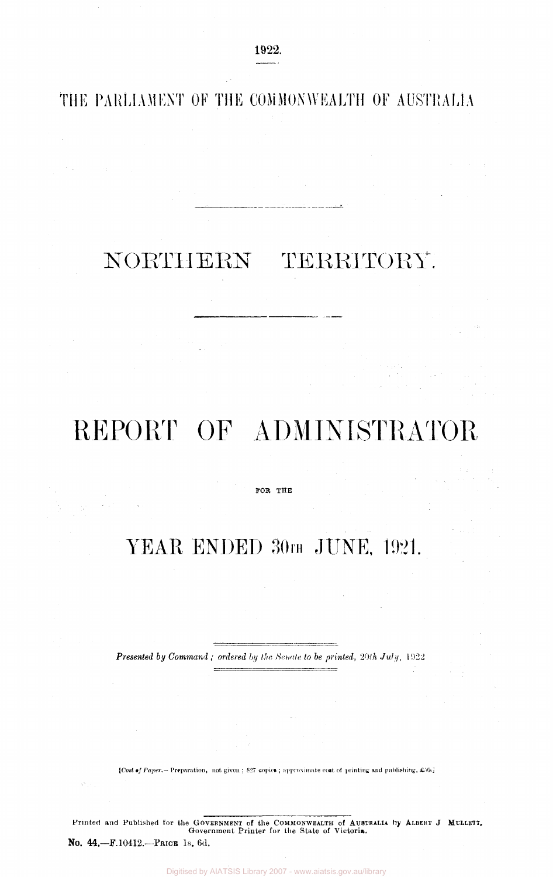**THE PARLIAMENT OF THE COMMONWEALTH OF** AUSTRALIA

## NORTHERN TERRITORY.

# REPORT OF ADMINISTRATOR

#### FOR THE

## YEAR ENDED 30TH JUNE, 1921.

*Presented by Command ; ordered by the Senate to be printed, 20th July,* 1922

 $\equiv$ 

*[Cost of Paper.—* Preparation, not given ; 827 copies ; approximate cost of printing and publishing, £.50,]

Printed and Published for the GOVERNMENT of the COMMONWEALTH of AUSTRALIA By ALBERT J MULLETT, Government Printer for the State of Victoria.

No. 44.—F. 10412.—PRICE IS. 6d.

 $\mathbb{R}^N$  ,  $\mathbb{R}^N$ 

Digitised by AIATSIS Library 2007 - www.aiatsis.gov.au/library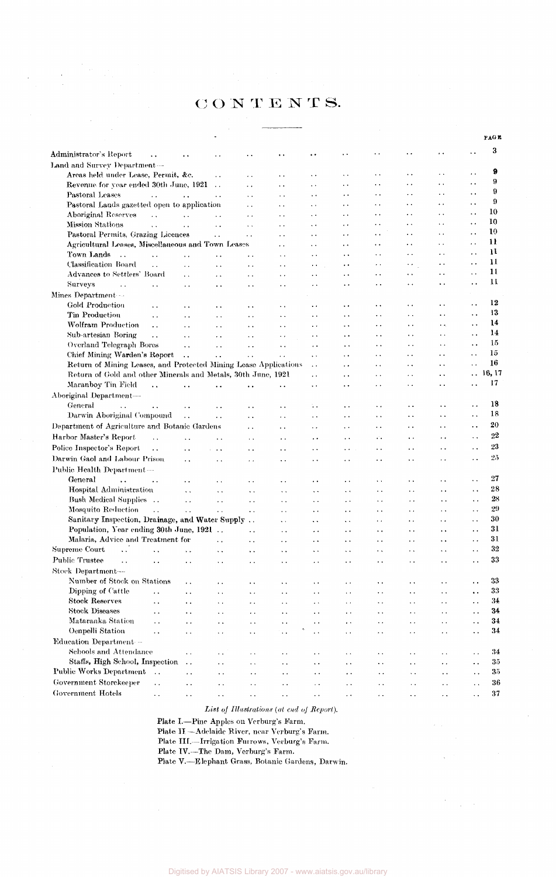### **CONTENTS.**

 $\label{eq:2.1} \begin{split} \frac{1}{\sqrt{2}}\left(\frac{1}{\sqrt{2}}\right) & = \frac{1}{2}\left(\frac{1}{2}\right) \\ & = \frac{1}{2}\left(\frac{1}{2}\right) \\ & = \frac{1}{2}\left(\frac{1}{2}\right) \\ & = \frac{1}{2}\left(\frac{1}{2}\right) \\ & = \frac{1}{2}\left(\frac{1}{2}\right) \\ & = \frac{1}{2}\left(\frac{1}{2}\right) \\ & = \frac{1}{2}\left(\frac{1}{2}\right) \\ & = \frac{1}{2}\left(\frac{1}{2}\right) \\ & = \frac{1}{2}\left(\frac{1}{2}\right) \\ &$ 

|                                                                           |                                              |                             |                                              |                                              |                                              |                                              |                                              |                                   |                             |                                              | PAGE         |
|---------------------------------------------------------------------------|----------------------------------------------|-----------------------------|----------------------------------------------|----------------------------------------------|----------------------------------------------|----------------------------------------------|----------------------------------------------|-----------------------------------|-----------------------------|----------------------------------------------|--------------|
|                                                                           |                                              |                             |                                              |                                              |                                              |                                              | . .                                          | . .                               |                             |                                              | 3            |
| Administrator's Report<br>٠.                                              |                                              |                             |                                              | . .                                          | . .                                          | . .                                          |                                              |                                   |                             |                                              |              |
| Land and Survey Department-                                               |                                              |                             |                                              |                                              |                                              |                                              |                                              | . .                               | $\ddot{\phantom{1}}$        | $\ddot{\phantom{1}}$                         | 9            |
| Areas held under Lease, Permit, &c.                                       |                                              | $\ddot{\phantom{0}}$        | . .                                          | $\ddotsc$                                    | . .                                          | $\ddotsc$                                    | $\ddot{\phantom{1}}$                         | $\ddotsc$                         | $\ddot{\phantom{0}}$        | $\ddot{\phantom{0}}$                         | 9            |
| Revenue for year ended 30th June, 1921<br>Pastoral Leases                 |                                              |                             | $\ddotsc$                                    | $\ddot{\phantom{0}}$                         | $\ddot{\phantom{1}}$                         | . .                                          | $\sim$ $\sim$<br>$\sim$ $\sim$               | $\ddot{\phantom{0}}$              | $\ddot{\phantom{a}}$ .      | $\ddot{\phantom{0}}$                         | 9            |
| $\sim$ $\sim$                                                             | $\ddot{\phantom{a}}$                         | μ.,                         | $\ddot{\phantom{a}}$                         | $\ddot{\phantom{0}}$                         | $\ddot{\phantom{1}}$                         | $\ddot{\phantom{0}}$                         | $\ddot{\phantom{0}}$                         | $\ddot{\phantom{1}}$              | $\ddot{\phantom{1}}$        | $\ddot{\phantom{0}}$                         | 9            |
| Pastoral Lands gazetted open to application<br><b>Aboriginal Reserves</b> |                                              |                             | $\ddot{\phantom{0}}$                         | $\ddot{\phantom{1}}$                         | $\ddotsc$<br>μ.                              | $\ddot{\phantom{1}}$<br>$\ddot{\phantom{0}}$ | $\ddot{\phantom{1}}$                         | $\ddot{\phantom{0}}$              | $\ddot{\phantom{1}}$        | $\ddot{\phantom{0}}$                         | 10           |
| $\ddot{\phantom{a}}$ .<br><b>Mission Stations</b>                         | $\ddot{\phantom{a}}$                         | $\ddot{\phantom{a}}$        | $\ddot{\phantom{0}}$                         | ٠.<br>$\ddot{\phantom{a}}$                   | $\ddot{\phantom{a}}$                         | $\ddot{\phantom{0}}$                         | $\bullet$ $\bullet$                          | $\ddot{\phantom{0}}$              | $\ddot{\phantom{0}}$        | $\ddot{\phantom{0}}$                         | 10           |
| $\sim$ $\sim$<br>Pastoral Permits, Grazing Licences                       | $\ddot{\phantom{0}}$                         | . .<br>$\ddot{\phantom{0}}$ | $\ddot{\phantom{0}}$<br>$\ddot{\phantom{0}}$ | τ.                                           | $\ddot{\phantom{0}}$                         | $\ddot{\phantom{0}}$                         | $\ddot{\phantom{a}}$                         | . .                               | $\ddot{\phantom{0}}$        | $\ddot{\phantom{1}}$ .                       | 10           |
| Agricultural Leases, Miscellaneous and Town Leases                        |                                              |                             |                                              | $\ddot{\phantom{0}}$                         | $\ddot{\phantom{a}}$                         | $\ddot{\phantom{1}}$                         | $\ddot{\phantom{0}}$                         | ٠.                                | $\ddot{\phantom{0}}$        | $\ddot{\phantom{0}}$                         | 11           |
| Town Lands<br>$\ddot{\phantom{a}}$<br>$\ddot{\phantom{a}}$                | $\ddot{\phantom{0}}$                         |                             | $\ddot{\phantom{0}}$                         | $\ddot{\phantom{1}}$                         | $\ddotsc$                                    | $\ddot{\phantom{1}}$                         | $\ddotsc$                                    | $\epsilon$ .                      | $\epsilon$ .                | . .                                          | 11           |
| Classification Board<br>i.                                                | $\ddot{\phantom{0}}$                         | $\ddot{\phantom{0}}$        | $\ddot{\phantom{a}}$ .                       | $\ddot{\phantom{1}}$ .                       | $\ddot{\phantom{0}}$                         | $\ddot{\phantom{0}}$                         | $\sim$ $\sim$                                | ×.                                | $\cdot$ .                   | . .                                          | 11           |
| Advances to Settlers' Board                                               | $\ddot{\phantom{0}}$                         | $\ddot{\phantom{0}}$        | $\ddot{\phantom{0}}$                         | $\ddot{\phantom{1}}$                         | $\ddot{\phantom{0}}$                         | $\ddot{\phantom{1}}$                         | . .                                          | $\ddot{\phantom{1}}$              | $\ddot{\phantom{0}}$        | $\ddot{\phantom{0}}$                         | $\mathbf{1}$ |
| <b>Surveys</b><br>$\ddot{\phantom{0}}$<br>$\ddot{\phantom{0}}$            | $\ddotsc$                                    | $\ddot{\phantom{0}}$        | $\ddot{\phantom{0}}$                         | $\ddot{\phantom{1}}$                         | $\ddot{\phantom{1}}$                         | . .                                          | $\ddot{\phantom{0}}$                         | $\ddot{\phantom{0}}$              | ٠.                          | $\ddot{\phantom{0}}$                         | 11           |
| Mines Department                                                          |                                              |                             |                                              |                                              |                                              |                                              |                                              |                                   |                             |                                              |              |
| Gold Production<br>$\ddotsc$                                              | $\ddot{\phantom{1}}$                         | $\ddot{\phantom{0}}$        | $\bullet$ $\bullet$                          | $\ddot{\phantom{1}}$                         | . .                                          | $\ddot{\phantom{1}}$                         | $\ddot{\phantom{0}}$                         | . .                               | $\ddot{\phantom{0}}$        | $\ddot{\phantom{1}}$                         | 12           |
| Tin Production<br>$\ddotsc$                                               | $\ddot{\phantom{a}}$                         | $\ddot{\phantom{a}}$        | $\ddot{\phantom{a}}$ .                       | $\ddot{\phantom{0}}$                         | $\ddot{\phantom{0}}$                         | $\ddot{\phantom{1}}$                         | $\ddot{\phantom{0}}$                         | $\ddot{\phantom{1}}$              | $\ddot{\phantom{0}}$        | $\ddot{\phantom{0}}$                         | 13           |
| <b>Wolfram Production</b><br>$\ddot{\phantom{0}}$                         | . .                                          | $\ddot{\phantom{0}}$        | $\ddot{\phantom{1}}$ .                       | $\ddot{\phantom{0}}$                         | $\sim$ $\star$                               | $\ddot{\phantom{0}}$                         | $\ddot{\phantom{0}}$                         | $\ddot{\phantom{1}}$              | $\ddot{\phantom{0}}$        | $\ddot{\phantom{0}}$                         | 14           |
| Sub-artesian Boring<br>$\ddot{\phantom{1}}$                               | $\ddot{\phantom{a}}$                         | $\ddot{\phantom{a}}$ .      | $\sim$ $\sim$                                | $\ddot{\phantom{1}}$ .                       | $\ddot{\phantom{1}}$                         | $\ddot{\phantom{1}}$                         | $\ddot{\phantom{1}}$                         | $\ddot{\phantom{1}}$              | $\ddot{\phantom{0}}$        | $\ddot{\phantom{1}}$ .                       | 14           |
| Overland Telegraph Bores                                                  | $\ddot{\phantom{a}}$                         | $\ddot{\phantom{0}}$        | $\sim$ $\sim$                                | $\ddot{\phantom{a}}$                         | $\ddot{\phantom{1}}$                         | $\ddot{\phantom{0}}$                         | $\ddot{\phantom{0}}$                         | $\ddot{\phantom{0}}$              | $\ddot{\phantom{0}}$        | $\ddot{\phantom{0}}$                         | 15           |
| Chief Mining Warden's Report                                              | $\ddot{\phantom{0}}$                         | $\ddot{\phantom{0}}$        | $\ddot{\phantom{0}}$                         | $\ddot{\phantom{0}}$                         | $\ddot{\phantom{1}}$                         | $\ddot{\phantom{0}}$                         | $\ddot{\phantom{0}}$                         | $\ddot{\phantom{0}}$              | . .                         | . .                                          | 15           |
| Return of Mining Leases, and Protected Mining Lease Applications          |                                              |                             |                                              |                                              | $\ddot{\phantom{1}}$ .                       | $\ddot{\phantom{0}}$                         | $\ddot{\phantom{1}}$                         | $\ddot{\phantom{1}}$              | $\cdot$ .                   | $\ddot{\phantom{0}}$                         | 16           |
| Return of Gold and other Minerals and Metals, 30th June, 1921             |                                              |                             |                                              |                                              | $\ddotsc$                                    | $\ddot{\phantom{1}}$                         | $\ddotsc$                                    | . .                               | $\ddot{\phantom{1}}$        | $\ddotsc$                                    | 16, 17       |
| Maranboy Tin Field<br>$\ddot{\phantom{a}}$                                |                                              |                             |                                              | $\ddot{\phantom{0}}$                         | $\ddotsc$                                    | $\ddot{\phantom{1}}$                         | $\ddot{\phantom{0}}$                         | . .                               | $\ddot{\phantom{0}}$        | $\ddot{\phantom{0}}$                         | 17           |
| Aboriginal Department-                                                    |                                              |                             |                                              |                                              |                                              |                                              |                                              |                                   |                             |                                              |              |
| General                                                                   |                                              |                             | $\ddot{\phantom{0}}$                         | . .                                          | ٠.                                           | μ.                                           | $\ddot{\phantom{1}}$ .                       | $\ddot{\phantom{0}}$              | $\ddot{\phantom{0}}$        | $\ddot{\phantom{0}}$                         | 18           |
| Darwin Aboriginal Compound                                                | $\ddot{\phantom{0}}$                         | $\ddot{\phantom{0}}$        | $\ddot{\phantom{0}}$                         | . .                                          | $\ddot{\phantom{1}}$                         | $\ddot{\phantom{0}}$                         | $\ddot{\phantom{1}}$                         | $\ddot{\phantom{1}}$              | . .                         | $\ddot{\phantom{a}}$ .                       | 18           |
| Department of Agriculture and Botanic Gardens                             |                                              |                             | $\ddot{\phantom{0}}$                         | $\ddot{\phantom{0}}$                         | $\ddotsc$                                    | . .                                          | $\ddot{\phantom{0}}$                         | $\ddot{\phantom{1}}$              | $\ddot{\phantom{0}}$        | $\ddot{\phantom{0}}$                         | 20           |
| Harbor Master's Report<br>$\ddot{\phantom{0}}$                            | $\ddot{\phantom{0}}$                         | . .                         | $\ddot{\phantom{0}}$                         | $\ddot{\phantom{0}}$                         | $\ddot{\phantom{0}}$                         |                                              | $\mathcal{L}_{\mathcal{A}}$                  | $\ddot{\phantom{0}}$              | $\ddot{\phantom{0}}$        | $\ddot{\phantom{0}}$                         | 22           |
| Police Inspector's Report<br>$\ddot{\phantom{0}}$                         | $\ddot{\phantom{a}}$                         | $\ddot{\phantom{0}}$        | $\ddot{\phantom{1}}$ .                       | . .                                          | $\ddot{\phantom{0}}$                         | $\ddot{\phantom{1}}$                         | $\ddot{\phantom{0}}$                         | $\ddot{\phantom{0}}$              | $\ddot{\phantom{0}}$        | $\ddot{\phantom{1}}$                         | 23           |
| Darwin Gaol and Labour Prison                                             |                                              |                             |                                              |                                              |                                              |                                              |                                              | $\ddot{\phantom{0}}$              | . .                         | . .                                          | 25           |
| Public Health Department-                                                 |                                              | $\sim$ .                    | $\ddot{\phantom{0}}$                         | ٠.                                           | . .                                          | . .                                          | $\ddot{\phantom{0}}$                         |                                   |                             |                                              |              |
| General                                                                   |                                              |                             |                                              |                                              |                                              |                                              |                                              |                                   |                             | $\ddotsc$                                    | 27           |
| $\ddot{\phantom{a}}$<br>. .<br>Hospital Administration                    |                                              | μ.                          | $\ddot{\phantom{0}}$                         |                                              | $\ddot{\phantom{0}}$                         | $\ddot{\phantom{0}}$                         | $\bullet$ .                                  | . .                               | . .<br>$\ddot{\phantom{0}}$ |                                              | 28           |
| Bush Medical Supplies                                                     | $\ddot{\phantom{0}}$                         | $\ddot{\phantom{1}}$ .      | $\ddot{\phantom{a}}$ .                       | $\ddot{\phantom{a}}$                         | $\sim$ $\sim$                                | $\sim$ $\sim$                                | $\ddot{\phantom{0}}$                         | $\ddot{\phantom{0}}$              |                             | $\ddot{\phantom{1}}$                         | 28           |
| Mosquito Reduction<br>$\ddot{\phantom{a}}$                                | $\ddot{\phantom{0}}$                         | $\ddot{\phantom{0}}$        | $\ddot{\phantom{0}}$                         | $\ddot{\phantom{0}}$                         | $\ddot{\phantom{0}}$                         | $\ldots$                                     | . .                                          | $\ddot{\phantom{0}}$              | . .<br>. .                  | $\ddot{\phantom{0}}$<br>$\ddot{\phantom{0}}$ | 29           |
| Sanitary Inspection, Drainage, and Water Supply                           | $\ddotsc$                                    | $\ddot{\phantom{0}}$        | $\ddot{\phantom{0}}$                         | $\ddot{\phantom{0}}$<br>$\ddot{\phantom{a}}$ | $\ddot{\phantom{1}}$ .                       | $\ddot{\phantom{0}}$<br>$\ddot{\phantom{a}}$ | $\ddot{\phantom{0}}$<br>$\ddot{\phantom{a}}$ | $\ddotsc$<br>$\ddot{\phantom{0}}$ | $\ddot{\phantom{1}}$        | $\ddot{\phantom{0}}$                         | 30           |
| Population, Year ending 30th June, 1921                                   |                                              |                             | $\sim$ .                                     | $\ddot{\phantom{0}}$                         | $\ddot{\phantom{1}}$<br>$\ddot{\phantom{0}}$ | $\ddot{\phantom{0}}$                         | $\ddot{\phantom{0}}$                         | $\ddot{\phantom{0}}$              | $\ddot{\phantom{0}}$        | $\ddot{\phantom{1}}$                         | 31           |
| Malaria, Advice and Treatment for                                         |                                              | $\sim$ .                    | $\ddot{\phantom{1}}$                         | . .                                          | $\ddot{\phantom{0}}$                         | $\sim$                                       | $\ddot{\phantom{0}}$                         | . .                               | $\ddotsc$                   | $\ddot{\phantom{0}}$                         | 31           |
| Supreme Court<br>$\ddot{\phantom{a}}$ .<br>$\ddot{\phantom{a}}$           | Ω.                                           | $\ddot{\phantom{1}}$ .      | $\sim$                                       | $\ddot{\phantom{1}}$                         | $\ddot{\phantom{1}}$                         | $\ddot{\phantom{1}}$                         | $\bullet$ $\bullet$                          | $\ddot{\phantom{a}}$              | $\sim$ $\sim$               | $\ddot{\phantom{0}}$                         | 32           |
| Public Trustee<br>$\sim$ $\sim$                                           |                                              |                             |                                              |                                              |                                              |                                              | . .                                          | $\ddot{\phantom{0}}$              | . .                         | $\ddot{\phantom{a}}$                         | 33           |
| $\ddot{\phantom{1}}$<br>Stock Department-                                 | $\ddot{\phantom{0}}$                         | $\ddot{\phantom{a}}$        | $\ddotsc$                                    |                                              | . .                                          | $\ddot{\phantom{0}}$                         |                                              |                                   |                             |                                              |              |
| Number of Stock on Stations                                               |                                              |                             |                                              |                                              |                                              |                                              |                                              |                                   |                             |                                              | 33           |
| Dipping of Cattle                                                         | . .                                          | ٠.                          | $\ddot{\phantom{a}}$ .                       |                                              | . .                                          | $\ddot{\phantom{0}}$                         |                                              | . .                               | $\ddotsc$                   | $\ddotsc$                                    | 33           |
| . .<br><b>Stock Reserves</b>                                              | $\ddotsc$                                    | ٠.                          | $\sim$                                       | . .                                          | . .                                          | $\ddot{\phantom{0}}$                         | $\ddot{\phantom{0}}$                         | $\ddot{\phantom{0}}$              | $\ddotsc$                   |                                              | 34           |
| $\ddot{\phantom{0}}$<br><b>Stock Diseases</b>                             | . .                                          | $\ddot{\phantom{1}}$        | $\ddot{\phantom{0}}$                         | . .                                          | $\ddot{\phantom{0}}$                         | $\ddot{\phantom{1}}$                         | Ч.                                           | $\ddot{\phantom{0}}$              | $\ddot{\phantom{1}}$ .      | $\ddot{\phantom{0}}$                         | 34           |
| . .<br>Mataranka Station<br>$\ddot{\phantom{a}}$                          | $\ddot{\phantom{1}}$                         | $\ddotsc$                   | $\ddot{\phantom{1}}$ .                       | . .                                          | $\ddot{\phantom{1}}$                         | $\ddot{\phantom{0}}$                         | . .                                          | $\bullet$ .                       | $\ddot{\phantom{1}}$ .      | $\ddot{\phantom{1}}$ .                       | 34           |
| Oenpelli Station<br>$\ddot{\phantom{0}}$                                  | $\ddot{\phantom{1}}$<br>$\ddot{\phantom{a}}$ | $\cdot$ .<br>$\ddotsc$      | $\ddotsc$                                    | $\ddot{\phantom{0}}$<br>$\ddot{\phantom{0}}$ | $\ddot{\phantom{1}}$<br>$\ddot{\phantom{a}}$ | $\ddotsc$                                    | $\ddotsc$<br>$\ddot{\phantom{0}}$            | $\bullet$ $\bullet$<br>. .        | $\ddot{\phantom{1}}$ .      | $\sim$ $\epsilon$<br>$\ddot{\phantom{1}}$    | 34           |
| Education Department -                                                    |                                              |                             | $\ddot{\phantom{0}}$                         |                                              |                                              | $\ddot{\phantom{1}}$ .                       |                                              |                                   | $\ddot{\phantom{a}}$ .      |                                              |              |
| Schools and Attendance                                                    |                                              |                             |                                              |                                              |                                              |                                              |                                              |                                   |                             |                                              | 34           |
| Staffs, High School, Inspection                                           | $\ddot{\phantom{1}}$                         | $\ddot{\phantom{a}}$        | г.                                           | ٠.                                           | . .                                          | $\ddotsc$                                    | . .                                          | $\ddot{\phantom{a}}$              | $\ddot{\phantom{1}}$ .      | $\ddot{\phantom{0}}$                         | 35           |
| Public Works Department<br>$\ddot{\phantom{1}}$ .                         | $\sim$ .                                     | $\ddot{\phantom{0}}$        | $\ddotsc$                                    | . .                                          | $\ddot{\phantom{0}}$                         | $\ddotsc$                                    | $\ddot{\phantom{0}}$                         | $\ddot{\phantom{1}}$ .            | . .                         | $\ddot{\phantom{1}}$                         | 35           |
| Government Storekeeper                                                    | . .                                          | $\ddot{\phantom{1}}$ .      | $\ddot{\phantom{1}}$ .                       | $\ddot{\phantom{0}}$                         | $\ddot{\phantom{1}}$                         | $\ddot{\phantom{1}}$ .                       | $\ddot{\phantom{1}}$ .                       | $\sim$ $\alpha$                   | $\ddotsc$                   | $\ddot{\phantom{1}}$                         | 36           |
| Ϋ,<br><b>Government Hotels</b>                                            | $\ddotsc$                                    | $\ddotsc$                   | $\ddot{\phantom{0}}$                         | . .                                          | $\sim$                                       | $\ddot{\phantom{1}}$ .                       | $\ddot{\phantom{0}}$                         | $\ddot{\phantom{a}}$              | $\ddot{\phantom{0}}$        | . .                                          | 37           |
| $\ddotsc$                                                                 | $\ddot{\phantom{0}}$                         | $\ddot{\phantom{1}}$ .      | $\ddot{\phantom{1}}$                         | $\ddotsc$                                    | . .                                          | $\ddot{\phantom{1}}$                         | $\ddot{\phantom{1}}$                         | $\ddot{\phantom{0}}$              | $\ddot{\phantom{1}}$        | $\ddotsc$                                    |              |

*List of Illustrations (at end of Report).* 

 $\hat{\sigma}_{\rm eff}$ 

 $\Delta \sim 10^6$ 

Plate I.—Pine Apples on Verburg's Farm.

Plate II — Adelaide River, near Verburg's Farm.

Plate III.—Irrigation Furrows, Verburg's Farm.

Plate IV.—The Dam, Verburg's Farm.

Plate V.—Elephant Grass, Botanic Gardens, Darwin.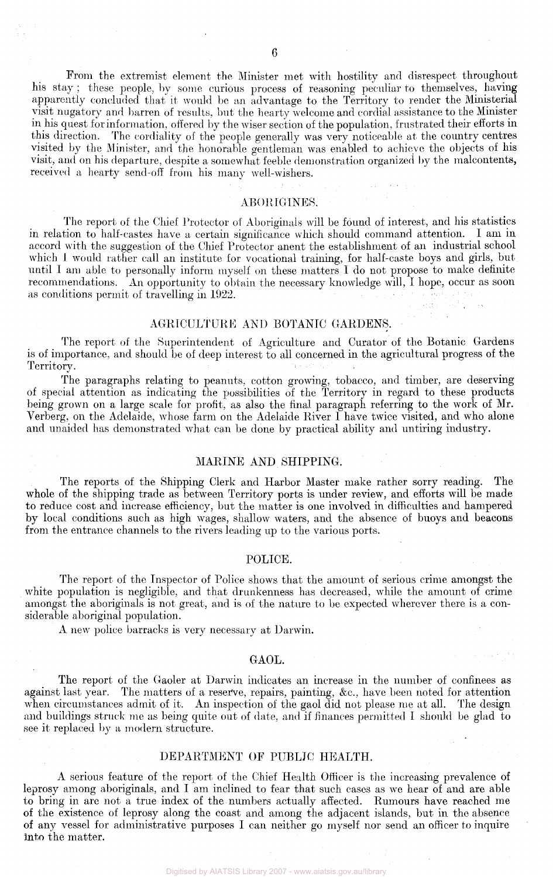From the extremist element the Minister met with hostility and disrespect throughout his stay ; these people, by some curious process of reasoning peculiar to themselves, having apparently concluded that it would be an advantage to the Territory to render the Ministerial visit nugatory and barren of results, but the hearty welcome and cordial assistance to the Minister in his quest for information, offered by the wiser section of the population, frustrated their efforts in this direction. The cordiality of the people generally was very noticeable at the country centres visited by the Minister, and the honorable gentleman was enabled to achieve the objects of his visit, and on his departure, despite a somewhat feeble demonstration organized by the malcontents, received a hearty send-off from his many well-wishers.

#### ABORIGINES.

The report of the Chief Protector of Aboriginals will be found of interest, and his statistics in relation to half-castes have a certain significance which should command attention. I am in accord with the suggestion of the Chief Protector anent the establishment of an industrial school which 1 would rather call an institute for vocational training, for half-caste boys and girls, but until I am able to personally inform myself on these matters I do not propose to make definite recommendations. An opportunity to obtain the necessary knowledge will, I hope, occur as soon as conditions permit of travelling in 1922.

#### AGRICULTURE AND BOTANIC GARDENS.

The report of the Superintendent of Agriculture and Curator of the Botanic Gardens is of importance, and should be of deep interest to all concerned in the agricultural progress of the Territory.

The paragraphs relating to peanuts, cotton growing, tobacco, and timber, are deserving of special attention as indicating the possibilities of the Territory in regard to these products being grown on a large scale for profit, as also the final paragraph referring to the work of Mr. Verberg, on the Adelaide, whose farm on the Adelaide River I have twice visited, and who alone and unaided has demonstrated what can be done by practical ability and untiring industry.

#### MARINE AND SHIPPING.

The reports of the Shipping Clerk and Harbor Master make rather sorry reading. The whole of the shipping trade as between Territory ports is under review, and efforts will be made to reduce cost and increase efficiency, but the matter is one involved in difficulties and hampered by local conditions such as high wages, shallow waters, and the absence of buoys and beacons from the entrance channels to the rivers leading up to the various ports.

#### POLICE.

The report of the Inspector of Police shows that the amount of serious crime amongst the white population is negligible, and that drunkenness has decreased, while the amount of crime amongst the aboriginals is not great, and is of the nature to be expected wherever there is a considerable aboriginal population.

A *new* police barracks is very necessary at Darwin.

#### GAOL.

The report of the Gaoler at Darwin indicates an increase in the number of confinees as against last year. The matters of a reserve, repairs, painting, &c, have been noted for attention when circumstances admit of it. An inspection of the gaol did not please me at all. The design and buildings struck me as being quite out of date, and if finances permitted I should be glad to see it replaced by a modern structure.

#### DEPARTMENT OF PUBLIC HEALTH.

A serious feature of the report of the Chief Health Officer is the increasing prevalence of leprosy among aboriginals, and I am inclined to fear that such cases as we hear of and are able to bring in are not a true index of the numbers actually affected. Rumours have reached me of the existence of leprosy along the coast and among the adjacent islands, but in the absence of any vessel for administrative purposes I can neither go myself nor send an officer to inquire into the matter.

Digitised by AIATSIS Library 2007 - www.aiatsis.gov.au/library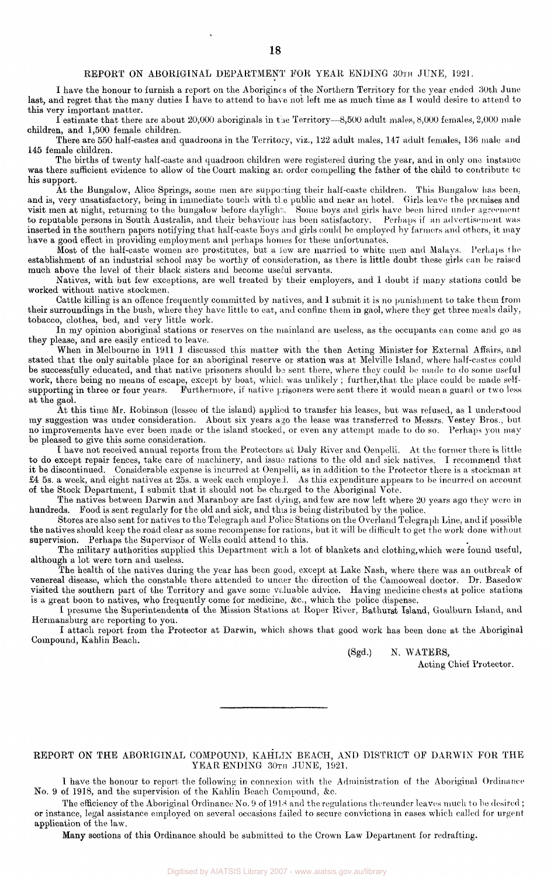#### REPORT ON ABORIGINAL DEPARTMENT FOR YEAR ENDING 30TH JUNE, 1921.

I have the honour to furnish a report on the Aborigines of the Northern Territory for the year ended 30th June last, and regret that the many duties I have to attend to have not left me as much time as I would desire to attend to this very important matter.

I estimate that there are about 20,000 aboriginals in the Territory—8,500 adult males, 8,000 females, 2,000 male children, and 1,500 female children.

There are 550 half-castes and quadroons in the Territory, viz., 122 adult males, 147 adult females, 136 male and 145 female children.

The births of twenty half-caste and quadroon children were registered during the year, and in only one instance was there sufficient evidence to allow of the Court making an order compelling the father of the child to contribute to his support.

At the Bungalow, Alice Springs, some men are supporting their half-caste children. This Bungalow has been, and is, very unsatisfactory, being in immediate touch with the public and near an hotel. Girls leave the premises and visit men at night, returning to the bungalow before daylight. Some boys and girls have been hired under agreement to reputable persons in South Australia, and their behaviour has been satisfactory. Perhaps if an advertisement was inserted in the southern papers notifying that half-caste boys and girls could be employed by farmers and others, it may have a good effect in providing employment and perhaps homes for these unfortunates.

Most of the half-caste women are prostitutes, but a few are married to white men and Malays. Perhaps the establishment of an industrial school may be worthy of consideration, as there is little doubt these girls can be raised much above the level of their black sisters and become useful servants.

Natives, with but few exceptions, are well treated by their employers, and I doubt if many stations could be worked without native stockmen.

Cattle killing is an offence frequently committed by natives, and 1 submit it is no punishment to take them from their surroundings in the bush, where they have little to eat, and confine them in gaol, where they get three meals daily, tobacco, clothes, bed, and very little work.

In my opinion aboriginal stations or reserves on the mainland are useless, as the occupants can come and go as they please, and are easily enticed to leave.

When in Melbourne in 1911 I discussed this matter with the then Acting Minister for External Affairs, and stated that the only suitable place for an aboriginal reserve or station was at Melville Island, where half-castes could be successfully educated, and that native prisoners should be sent there, where they could be made to do some useful work, there being no means of escape, except by boat, which was unlikely ; further,that the place could be made selfsupporting in three or four years. Furthermore, if native prisoners were sent there it would mean a guard or two less at the gaol.

At this time Mr. Robinson (lessee of the island) applied to transfer his leases, but was refused, as 1 understood my suggestion was under consideration. About six years ago the lease was transferred to Messrs. Vestey Bros., but no improvements have ever been made or the island stocked, or even any attempt made to do so. Perhaps you may be pleased to give this some consideration.

I have not received annual reports from the Protectors at Daly River and Oenpelli. At the former there is little to do except repair fences, take care of machinery, and issue rations to the old and sick natives. I recommend that it be discontinued. Considerable expense is incurred at Oenpelli, as in addition to the Protector there is a stockman at £4 5s. a week, and eight natives at 25s. a week each employed. As this expenditure appears to be incurred on account of the Stock Department, I submit that it should not be charged to the Aboriginal Vote.

The natives between Darwin and Maranboy are fast dying, and few are now left where 20 years ago they were in hundreds. Food is sent regularly for the old and sick, and this is being distributed by the police.

Stores are also sent for natives to the Telegraph and Police Stations on the Overland Telegraph Line, and if possible the natives should keep the road clear as some recompense for rations, but it will be difficult to get the work done without supervision. Perhaps the Supervisor of Wells could attend to this.

The military authorities supplied this Department with a lot of blankets and clothing,which were found useful, although a lot were torn and useless.

The health of the natives during the year has been good, except at Lake Nash, where there was an outbreak of venereal disease, which the constable there attended to under the direction of the Camooweal doctor. Dr. Basedow visited the southern part of the Territory and gave some valuable advice. Having medicine chests at police stations is a great boon to natives, who frequently come for medicine, &c, which the police dispense.

I presume the Superintendents of the Mission Stations at Roper River, Bathurst Island, Goulburn Island, and Hermansburg are reporting to you.

I attach report from the Protector at Darwin, which shows that good work has been done at the Aboriginal Compound, Kahlin Beach.

(Sgd.) N. WATERS,

Acting Chief Protector.

#### REPORT ON THE ABORIGINAL COMPOUND, KAHLIN BEACH, AND DISTRICT OF DARWIN FOR THE YEAR ENDING 30TH JUNE, 1921.

I have the honour to report the following in connexion with the Administration of the Aboriginal Ordinance No. 9 of 1918, and the supervision of the Kahlin Beach Compound, &c.

The efficiency of the Aboriginal Ordinance No. 9 of 1918 and the regulations thereunder leaves much to be desired ; or instance, legal assistance employed on several occasions failed to secure convictions in cases which called for urgent application of the law.

Many sections of this Ordinance should be submitted to the Crown Law Department for redrafting.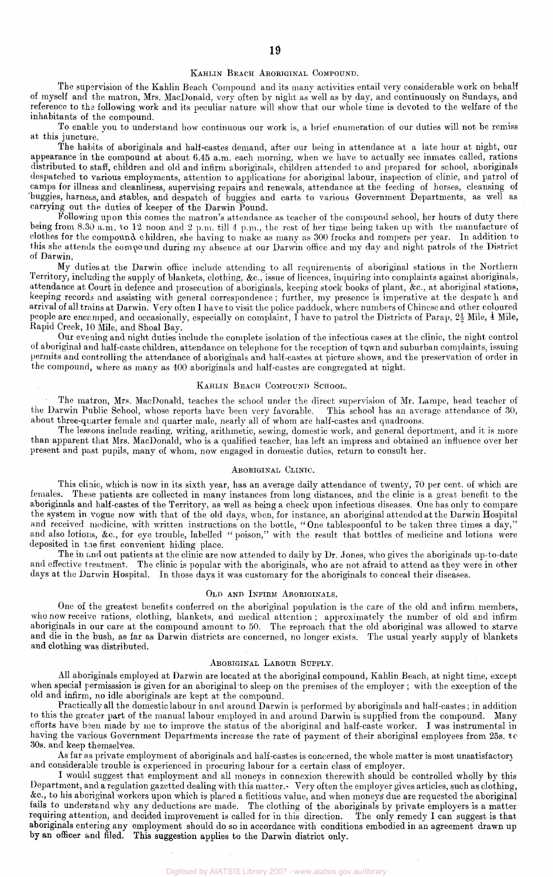#### KAHLIN BEACH ABORIGINAL COMPOUND.

The supervision of the Kahlin Beach Compound and its many activities entail very considerable work on behalf of myself and the matron, Mrs. MacDonald, very often by night as well as by day, and continuously on Sundays, and reference to the following work and its peculiar nature will show that our whole time is devoted to the welfare of the inhabitants of the compound.

To enable you to understand how continuous our work is, a brief enumeration of our duties will not be remiss at this juncture.

The habits of aboriginals and half-castes demand, after our being in attendance at a late hour at night, our appearance in the compound at about 6.45 a.m. each morning, when we have to actually see inmates called, rations distributed to staff, children and old and [infirm a](http://infir.ni)boriginals, children attended to and prepared for school, aboriginals despatched to various employments, attention to applications for aboriginal labour, inspection of clinic, and patrol of camps for illness and cleanliness, supervising repairs and renewals, attendance at the feeding of horses, cleansing of 'buggies, harness, and stables, and despatch of buggies and carts to various Government Departments, as well as carrying out the duties of keeper of the Darwin Pound.

Following upon this comes the matron's attendance as teacher of the compound school, her hours of duty there being from 8.30 a.m. to 12 noon and 2 p.m. till *4* p.m., the rest of her time being taken up with the manufacture of clothes for the compound children, she having to make as many as 300 frocks and rompers per year. In addition to this she attends the compound during my absence at our Darwin office and my day and night patrols of the District of Darwin.

My duties at the Darwin office include attending to all requirements of aboriginal stations in the Northern Territory, including the supply of blankets, clothing, &c, issue of licences, inquiring into complaints against aboriginals, attendance at Court in defence and prosecution of aboriginals, keeping stock books of plant, &c, at aboriginal stations, keeping records and assisting with general correspondence ; further, my presence is imperative at the despatch and arrival of all trains at Darwin. Very often I have to visit the police paddock, where numbers of Chinese and other coloured people are encamped, and occasionally, especially on complaint, I have to patrol the Districts of Parap,  $2\frac{1}{2}$  Mile, 4 Mile, Rapid Creek, 10 Mile, and Shoal Bay.

Our evening and night duties include the complete isolation of the infectious cases at the clinic, the night control of aboriginal and half-caste children, attendance on telephone for the reception of town and suburban complaints, issuing permits and controlling the attendance of aboriginals and half-castes at picture shows, and the preservation of order in the compound, where as many as 400 aboriginals and half-castes are congregated at night.

#### KAHLIN BEACH COMPOUND SCHOOL.

The matron, Mrs. MacDonald, teaches the school under the direct supervision of Mr. Lampe, head teacher of arwin Public School, whose reports have been very favorable. This school has an average attendance of 30, the Darwin Public School, whose reports have been very favorable. about three-quarter female and quarter male, nearly all of whom are half-castes and quadroons.

The lessons include reading, writing, arithmetic, sewing, domestic work, and general deportment, and it is more than apparent that Mrs. MacDonald, who is a qualified teacher, has left an impress and obtained an influence over her present and past pupils, many of whom, now engaged in domestic duties, return to consult her.

#### ABORIGINAL CLINIC.

This clinic, which is now in its sixth year, has an average daily attendance of twenty, 70 per cent. of which are females. These patients are collected in many instances from long distances, and the clinic is a great benefit to the aboriginals and half-castes of the Territory, as well as being a check upon infectious diseases. One has only to compare the system in vogue now with that of the old days, when, for instance, an aboriginal attended at the Darwin Hospital and received medicine, with written instructions on the bottle, "One tablespoonful to be taken three times a day," and also lotions, &c, for eye trouble, labelled " poison," with the result that bottles of medicine and lotions were deposited in the first convenient hiding place.

The in and out patients at the clinic are now attended to daily by Dr. Jones, who gives the aboriginals up-to-date and effective treatment. The clinic is popular with the aboriginals, who are not afraid to attend as they were in other days at the Darwin Hospital. In those days it was customary for the aboriginals to conceal their diseases.

#### OLD AND INFIRM ABORIGINALS.

One of the greatest benefits conferred on the aboriginal population is the care of the old and infirm members, who now receive rations, clothing, blankets, and medical attention ; approximately the number of old and infirm aboriginals in our care at the compound amount to 50. The reproach that the old aboriginal was allowed to starve and die in the bush, as far as Darwin districts are concerned, no longer exists. The usual yearly supply of blankets and clothing was distributed.

#### ABORIGINAL LABOUR SUPPLY.

All aboriginals employed at Darwin are located at the aboriginal compound, Kahlin Beach, at night time, except when special permisssion is given for an aboriginal to sleep on the premises of the employer ; with the exception of the old and infirm, no idle aboriginals are kept at the compound.

Practically all the domestic labour in and around Darwin is performed by aboriginals and half-castes; in addition to this the greater part of the manual labour employed in and around Darwin is supplied from the compound. Many efforts have been made by me to improve the status of the aboriginal and half-caste worker. I was instrumental in having the various Government Departments increase the rate of payment of their aboriginal employees from 25s. to 30s. and keep themselves.

As far as private employment of aboriginals and half-castes is concerned, the whole matter is most unsatisfactory and considerable trouble is experienced in procuring labour for a certain class of employer.

I would suggest that employment and all moneys in connexion therewith should be controlled wholly by this Department, and a regulation gazetted dealing with this matter.- Very often the employer gives articles, such as clothing, &c, to his aboriginal workers upon which is placed a fictitious value, and when moneys' due are requested the aboriginal fails to understand why any deductions are made. The clothing of the aboriginals by private employers is a matter requiring attention, and decided improvement is called for in this direction. The only remedy I can suggest is that aboriginals entering any employment should do so in accordance with conditions embodied in an agreement drawn up by an officer and filed. This suggestion applies to the Darwin district only.